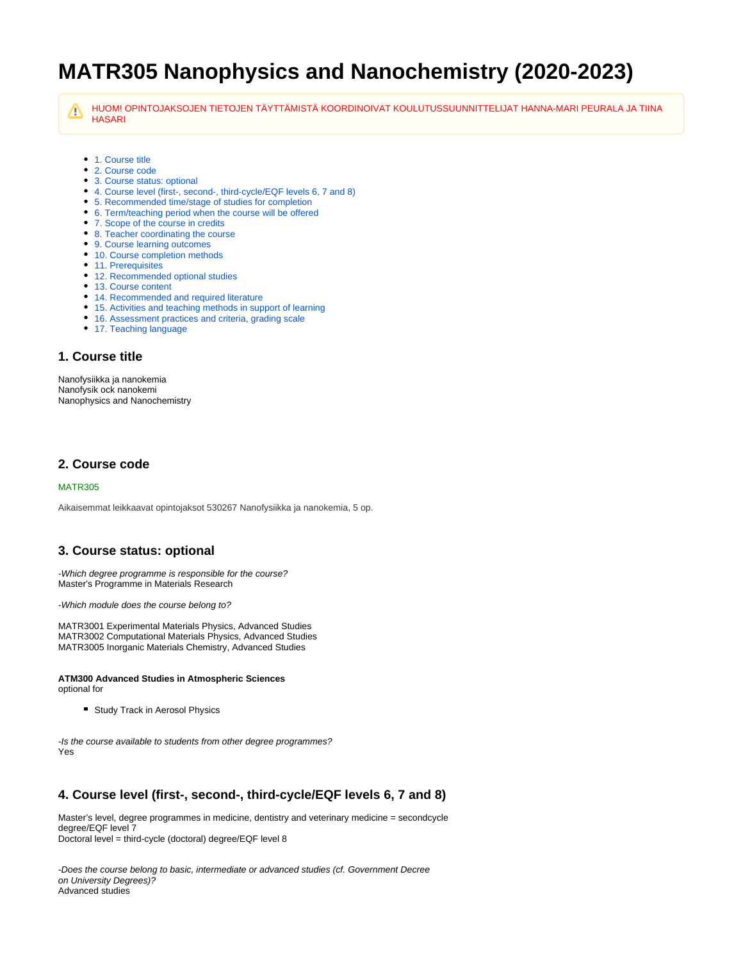# **MATR305 Nanophysics and Nanochemistry (2020-2023)**

HUOM! OPINTOJAKSOJEN TIETOJEN TÄYTTÄMISTÄ KOORDINOIVAT KOULUTUSSUUNNITTELIJAT HANNA-MARI PEURALA JA TIINA Λ **HASARI** 

- [1. Course title](#page-0-0)
- [2. Course code](#page-0-1)
- [3. Course status: optional](#page-0-2)
- [4. Course level \(first-, second-, third-cycle/EQF levels 6, 7 and 8\)](#page-0-3)
- [5. Recommended time/stage of studies for completion](#page-0-4)
- [6. Term/teaching period when the course will be offered](#page-1-0)
- [7. Scope of the course in credits](#page-1-1)
- [8. Teacher coordinating the course](#page-1-2)
- [9. Course learning outcomes](#page-1-3) • [10. Course completion methods](#page-1-4)
- [11. Prerequisites](#page-1-5)
- [12. Recommended optional studies](#page-1-6)
- [13. Course content](#page-1-7)
- [14. Recommended and required literature](#page-1-8)
- [15. Activities and teaching methods in support of learning](#page-1-9)
- [16. Assessment practices and criteria, grading scale](#page-1-10)
- [17. Teaching language](#page-2-0)

#### <span id="page-0-0"></span>**1. Course title**

Nanofysiikka ja nanokemia Nanofysik ock nanokemi Nanophysics and Nanochemistry

#### <span id="page-0-1"></span>**2. Course code**

#### MATR305

Aikaisemmat leikkaavat opintojaksot 530267 Nanofysiikka ja nanokemia, 5 op.

#### <span id="page-0-2"></span>**3. Course status: optional**

-Which degree programme is responsible for the course? Master's Programme in Materials Research

-Which module does the course belong to?

MATR3001 Experimental Materials Physics, Advanced Studies MATR3002 Computational Materials Physics, Advanced Studies MATR3005 Inorganic Materials Chemistry, Advanced Studies

#### **ATM300 Advanced Studies in Atmospheric Sciences** optional for

**Study Track in Aerosol Physics** 

-Is the course available to students from other degree programmes? Yes

#### <span id="page-0-3"></span>**4. Course level (first-, second-, third-cycle/EQF levels 6, 7 and 8)**

Master's level, degree programmes in medicine, dentistry and veterinary medicine = secondcycle degree/EQF level 7 Doctoral level = third-cycle (doctoral) degree/EQF level 8

<span id="page-0-4"></span>-Does the course belong to basic, intermediate or advanced studies (cf. Government Decree on University Degrees)? Advanced studies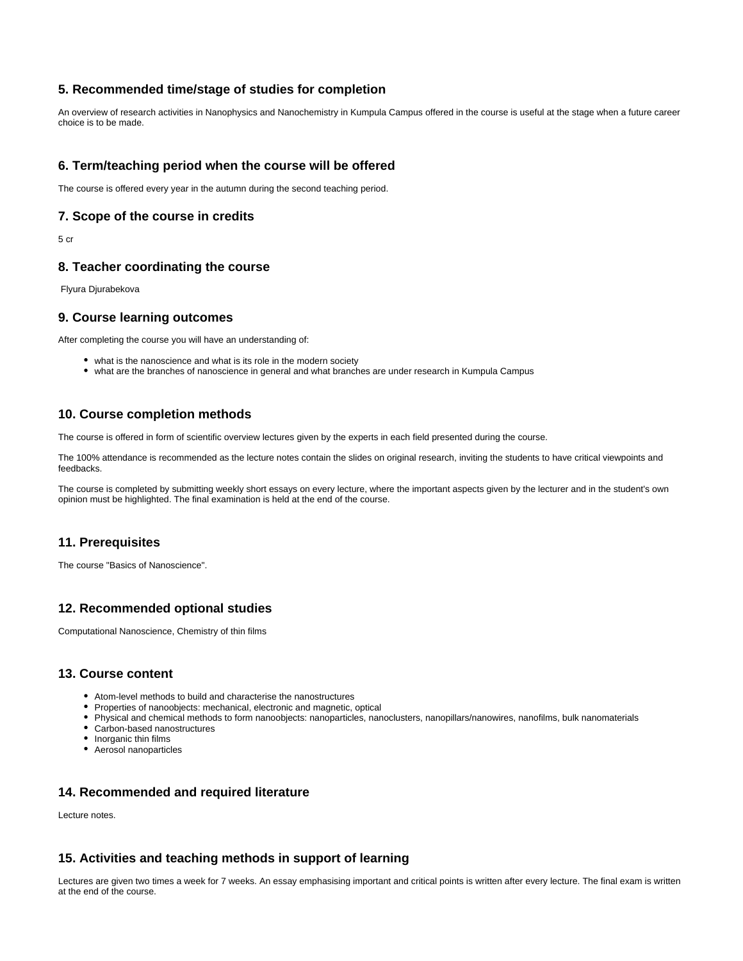## **5. Recommended time/stage of studies for completion**

An overview of research activities in Nanophysics and Nanochemistry in Kumpula Campus offered in the course is useful at the stage when a future career choice is to be made.

## <span id="page-1-0"></span>**6. Term/teaching period when the course will be offered**

The course is offered every year in the autumn during the second teaching period.

#### <span id="page-1-1"></span>**7. Scope of the course in credits**

5 cr

#### <span id="page-1-2"></span>**8. Teacher coordinating the course**

Flyura Djurabekova

#### <span id="page-1-3"></span>**9. Course learning outcomes**

After completing the course you will have an understanding of:

- what is the nanoscience and what is its role in the modern society
- what are the branches of nanoscience in general and what branches are under research in Kumpula Campus

#### <span id="page-1-4"></span>**10. Course completion methods**

The course is offered in form of scientific overview lectures given by the experts in each field presented during the course.

The 100% attendance is recommended as the lecture notes contain the slides on original research, inviting the students to have critical viewpoints and feedbacks.

The course is completed by submitting weekly short essays on every lecture, where the important aspects given by the lecturer and in the student's own opinion must be highlighted. The final examination is held at the end of the course.

#### <span id="page-1-5"></span>**11. Prerequisites**

The course "Basics of Nanoscience".

## <span id="page-1-6"></span>**12. Recommended optional studies**

Computational Nanoscience, Chemistry of thin films

### <span id="page-1-7"></span>**13. Course content**

- Atom-level methods to build and characterise the nanostructures
- Properties of nanoobjects: mechanical, electronic and magnetic, optical
- Physical and chemical methods to form nanoobjects: nanoparticles, nanoclusters, nanopillars/nanowires, nanofilms, bulk nanomaterials
- Carbon-based nanostructures
- Inorganic thin films
- Aerosol nanoparticles

#### <span id="page-1-8"></span>**14. Recommended and required literature**

Lecture notes.

#### <span id="page-1-9"></span>**15. Activities and teaching methods in support of learning**

<span id="page-1-10"></span>Lectures are given two times a week for 7 weeks. An essay emphasising important and critical points is written after every lecture. The final exam is written at the end of the course.